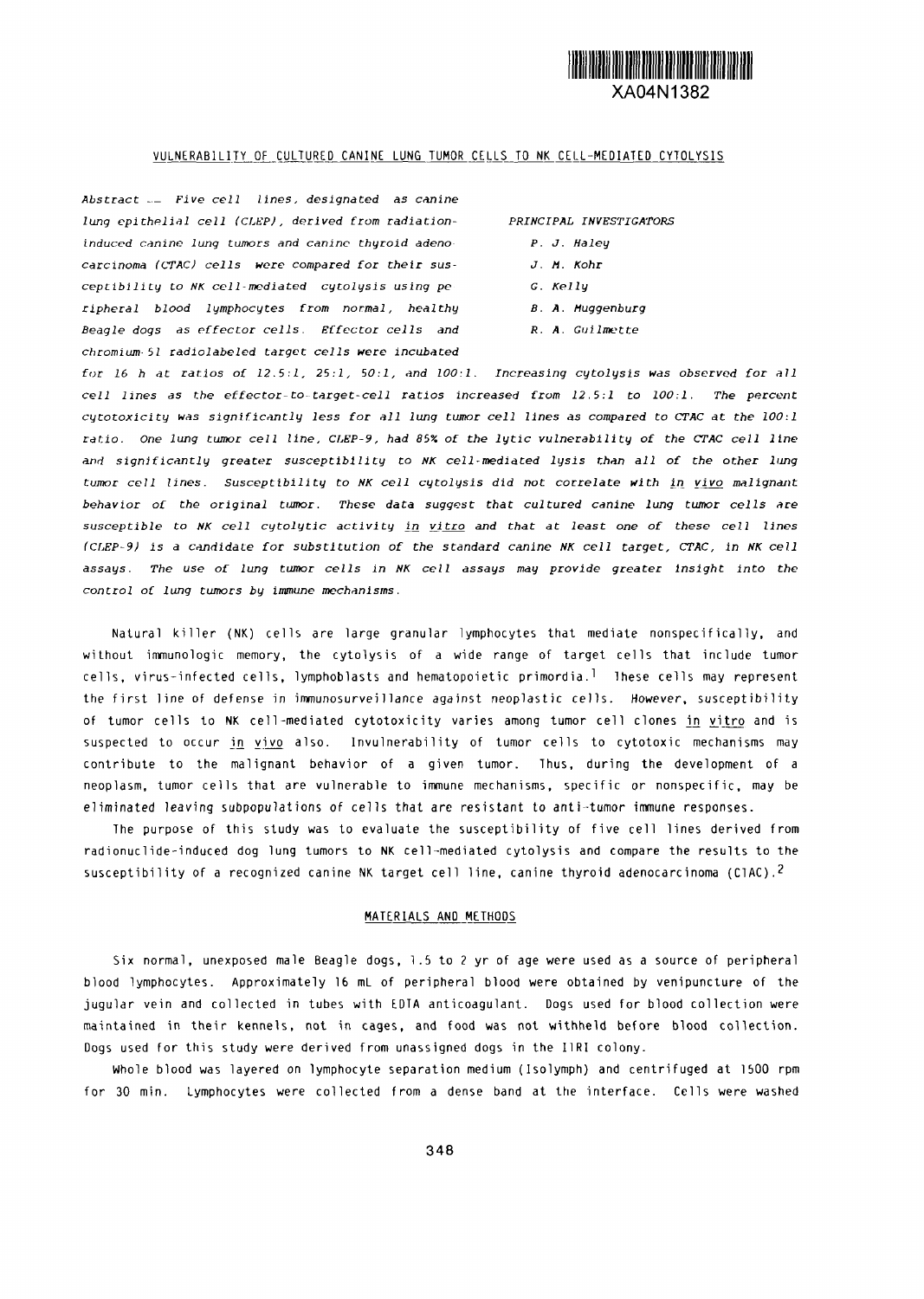

#### VULNERABILITY OF CULTURED CANINE LUNG TUMOR CELLS TO NK CELL-MEDIATED CYTOLYSIS

*Abstract \_ Five cell lines, designated as cnine* lung epithelial cell (CLEP), derived from radiation- PRINCIPAL INVESTIGATORS *induced canine lung tumors and cnine thyroid adeno- P. J. Haley carcinoma CTAC) cells were compared for their sus- J. M. Kohr* ceptibility to *NK cell-mediated cytolysis using pe G. Kelly ripheral blood lymphocytes from normal, healthy B. A. Muggenburg Beagle dogs as effector cells. Effector cells and R. A.* Guilmette *chromium 5* radiolabeled *target cells were incubated*

*for 16 h at ratios of* 12.5:1, 25:1, 50:1, *nd 00:1. Increasing cytolysis was observed for* all *cell lines as the effector-to-target-cell ratios increased from 12.5:1 to 100:1. The prcent* cytotoxicity *was significantly less for* all lung *tumor cell lines as compared to CTAC at the 00:1* ratio. *one lung tumor cell line, CLEP-9, had 85% of the* lytic vulnerability *of the CTAC cell line and significantly greater susceptibility to NK cell-mediated lysis than all of the other lung tumor cell lines. Susceptibility to NK cell* cytolysis did *not correlate with in vivo mlignant behavior of* the original **umor.** *These data suggest that cultured canine lung tumor cells are susceptible to NK cell cytolytic* activity in *vitro and that at least one of these cell* ines *(CLEP-9) is* a candidate *for substitution of the standard canine NK cell target, CTAC, in NK cell assays. The use of lung tumor cells in NK cell assays may provide greater Insight into the* control *of lung tumors by immune mechanisms.*

Natural killer (NK) cells are large granular lymphocytes that mediate nonspecifically, and without immunologic memory, the cytolysis of a wide range of target cells that include tumor cells, virus-infected cells, lymphoblasts and hematopoietic primordial These cells may represent the first line of defense in immunosurveillance against neoplastic cells. However, susceptibility of tumor cells to NK cell-mediated cytotoxicity varies among tumor cell clones in vitro and is suspected to occur in vivo also. Invulnerability of tumor cells to cytotoxic mechanisms may contribute to the malignant behavior of a given tumor. Thus, during the development of a neoplasm, tumor cells that are vulnerable to immune mechanisms, specific or nonspecific, may be eliminated leaving subpopulations of cells that are resistant to anti-tumor immune responses.

The purpose of this study was to evaluate the susceptibility of five cell lines derived from radionuclide-induced dog lung tumors to NK cell-mediated cytolysis and compare the results to the susceptibility of a recognized canine NK target cell line, canine thyroid adenocarcinoma (CIAC).<sup>2</sup>

#### MATERIALS AND METHODS

Six normal, unexposed male Bedgle dogs, 1.5 to 2 yr of age were used as a source of peripheral blood lymphocytes. Approximately 16 mL of peripheral blood were obtained by venipuncture of the jugular vein and collected in tubes with EDTA anticoagulant. Dogs used for blood collection were maintained in their kennels, not in cages, and food was not withheld before blood collection. Dogs used for tis study were derived from unassigned dogs in the IRI colony.

Whole blood was layered on lymphocyte separation medium (Isolymph) and centrifuged at 1500 rpm for 30 min. Lymphocytes were collected from a dense band at the interface. Cells were washed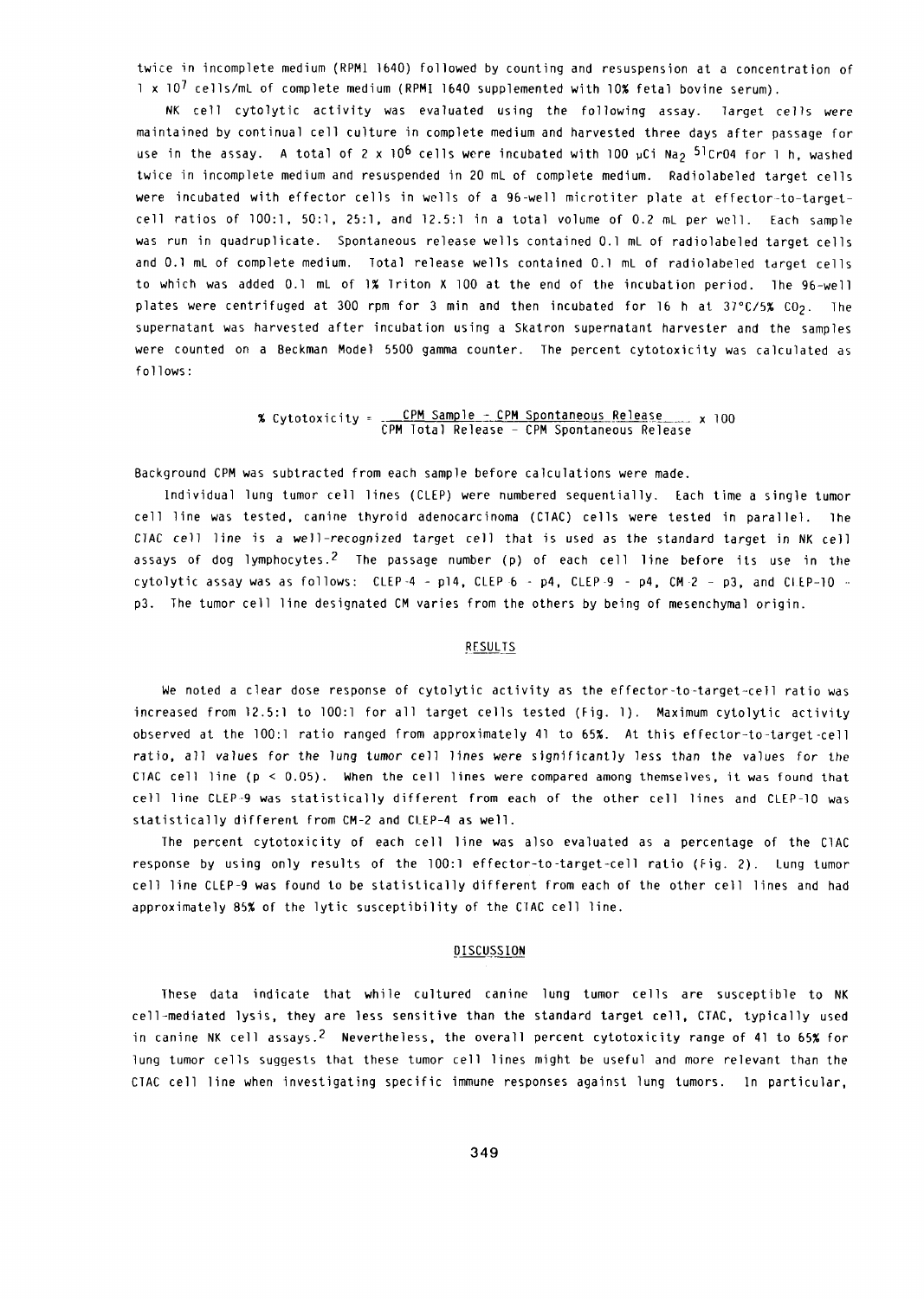twice in incomplete medium (RPMI b4O) followed by counting and resuspension at a concentration of  $1 \times 10^7$  cells/mL of complete medium (RPMI 1640 supplemented with 10% fetal bovine serum).

NK cell cytolytic activity was evaluated using the following assay. Target cells were maintained by continual cell culture in complete medium and harvested three days after passage for use in the assay. A total of 2 x 10<sup>6</sup> cells were incubated with 100 pCi Na<sub>2</sub> 5<sup>1</sup>Cr04 for 1 h, washed twice in incomplete medium and resuspended in 20 mL of complete medium. Radiolabeled target cells were incubated with effector cells in wells of a 96-well microtiter plate at effector-to-targetcell ratios of 100:1, 50:1, 25:1, and 12.5:1 in a total volume of 0.2 mL per well. Each sample was run in quadruplicate. Spontaneous release wells contained 0.1 mL of radiolabeled target cells and 0.1 mL of complete medium. Total release wells contained 0.1 mL of radiolabeled target cells to which was added 0.1 mL of 1% Triton X 100 at the end of the incubation period. The 96-well plates were centrifuged at 300 rpm for 3 min and then incubated for 16 h at  $37^{\circ}$ C/5% CO<sub>2</sub>. The supernatant was harvested after incubation using a Skatron supernatant harvester and the samples were counted on a Beckman Model 5500 gamma counter. The percent cytotoxicity was calculated as follows:

> % Cytotoxicity = <u>CPM Sample - CPM Spontaneous Release</u> x 100 CPM Total Release - CPM Spontaneous Release

Background CPM was subtracted from each sample before calculations were made.

Individual lung tumor cell lines (CLEP) were numbered sequentially. Each time a single tumor cell line was tested, canine thyroid adenocarcinoma (CTAQ cells were tested in parallel. The *CIAC* cell line is a well-recognized target cell that is used as the standard target in NK cell assays of dog lymphocytes.<sup>2</sup> The passage number (p) of each cell line before its use in the cytolytic assay was as follows: CLEP-4 - pl4, CLEP-6 - p4, CLEP-9 - p4, CM-2 - p3, and CLEP-10  $$ p3. The tumor cell line designated CM varies from the others by being of mesenchymal origin.

## **RESULTS**

We noted a clear dose response of cytolytic activity as the effector-to-target-cell ratio was increased from 12.5:1 to 100:1 for all target cells tested (Fig. 1). Maximum cytolytic activity observed at the 100:1 ratio ranged from approximately 41 to 65%. At this effector-to-target-cell ratio, all values for the lung tumor cell lines were significantly less than the values for the CTAC cell line (p < 0.05). When the cell lines were compared among themselves, it was found that cell line CLEP-9 was statistically different from each of the other cell lines and CLEP-10 was statistically different from CM-2 and CLEP-4 as well.

The percent cytotoxicity of each cell line was also evaluated as a percentage of the CAC response by using only results of the 100:1 effector-to-target-cell ratio (Fig. 2). Lung tumor cell line CLEP-9 was found to be statistically different from each of the other cell lines and had approximately 85% of the lytic susceptibility of the CIAC cell line.

## **DISCUSSION**

These data indicate that while cultured canine lung tumor cells are susceptible to NK cell-mediated lysis, they are less sensitive than the standard target cell, CTAC, typically used in canine NK cell assays.<sup>2</sup> Nevertheless, the overall percent cytotoxicity range of 41 to 65% for lung tumor cells suggests that these tumor cell lines might be useful and more relevant than the CTAC cell line when investigating specific immune responses against lung tumors. In particular,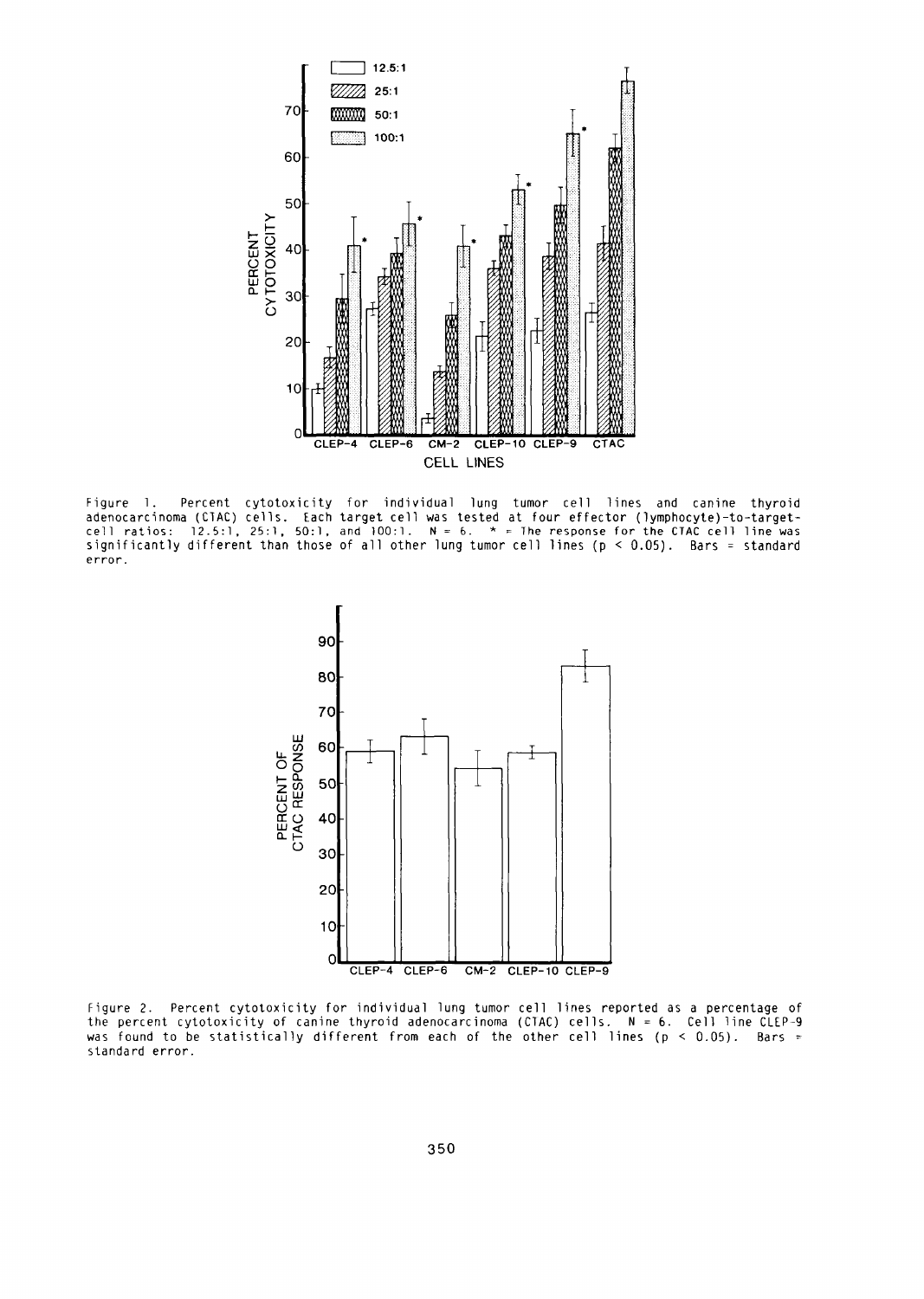

Figure 1. Percent cytotoxicity for individual lung tumor cell lines and canine thyroid adenocarcinoma (CTAC) cells. Each target cell was tested at four effector (lymphocyte)-to-target cell ratios: 12.5:1, 25:1, 50:1, and 100:1. *<sup>N</sup>***=** 6. \* The response for the CTAC cell line was significantly different than those of all other lung tumor cell lines (p  $<$  0.05). Bars = standard error.



Figure 2. Percent cytotoxicity for individual lung tumor cell lines reported as a percentage of the percent cytotoxicity of canine thyroid adenocarcinoma (CTAC) cells. N = 6. Cell line CLEPwas found to be statistically different from each of the other cell lines ( $p < 0.05$ ). Bars standard error.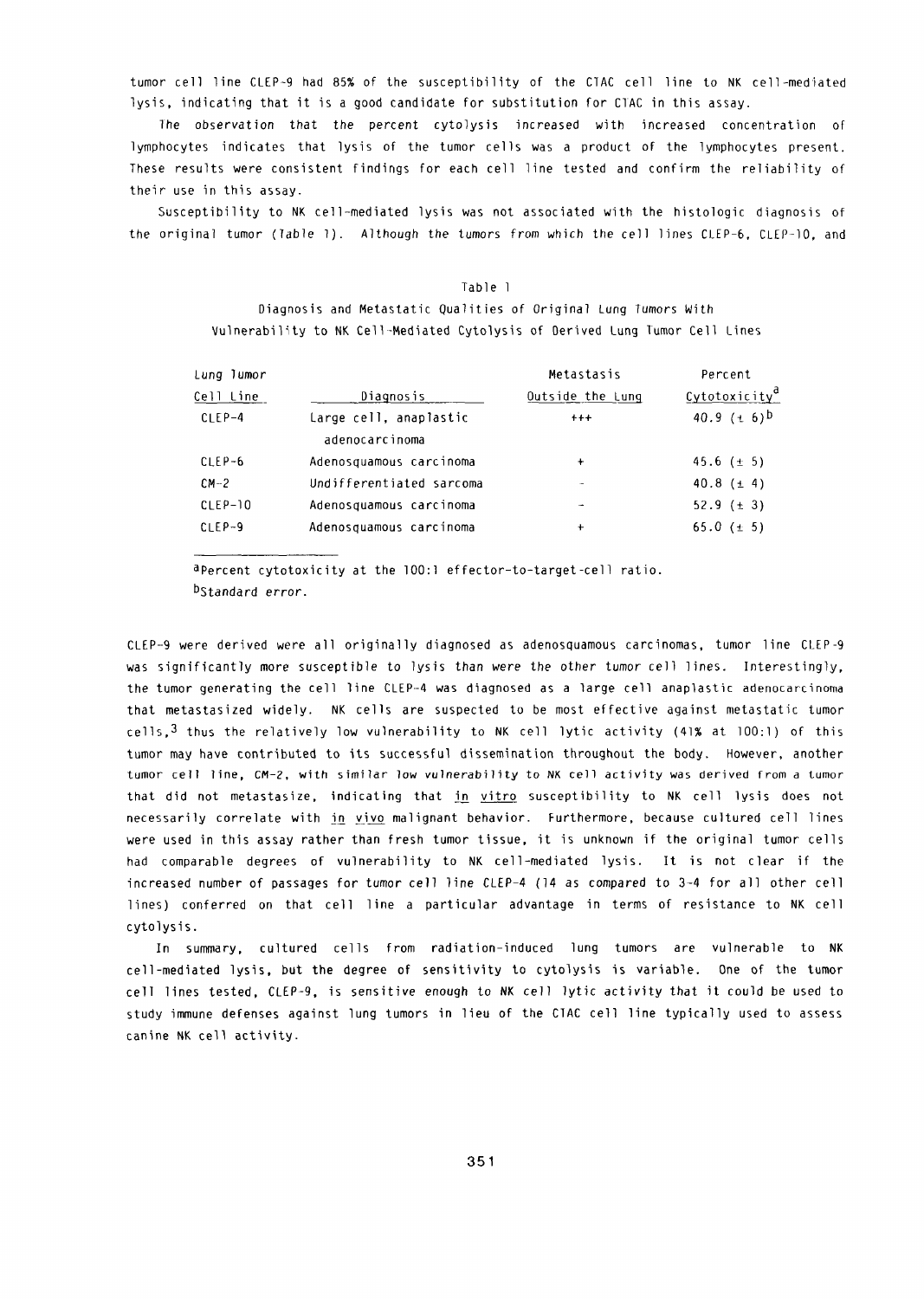tumor cell line CLEP-9 had 85% of the susceptibility of the CTAC cell line to NK cell-mediated lysis, indicating that it is a good candidate for substitution for CIAC in this assay.

*]he* observation that the percent cytolysis increased with increased concentration of lymphocytes indicates that lysis of the tumor cells was a product of the lymphocytes present. These results were consistent findings for each cell line tested and confirm the reliability of their use in this assay.

Susceptibility to NK cell-mediated lysis was not associated with the histologic diagnosis of the original tumor (Table 1). Although the tumors from which the cell lines CLEP-6, CLEP-10, and

# Table I Diagnosis and Metastatic Qualities of Original Lung Tumors With Vulnerability to NK Cell-Mediated Cytolysis of Derived Lung Tumor Cell Lines

| Lung Tumor |                                          | Metastasis       | Percent                   |
|------------|------------------------------------------|------------------|---------------------------|
| Cell Line  | Diagnosis                                | Outside the Lung | Cytotoxicity <sup>a</sup> |
| $CIEP-4$   | Large cell, anaplastic<br>adenocarcinoma | $+++$            | 40.9 $(\pm 6)^{b}$        |
| $CLEP-6$   | Adenosquamous carcinoma                  | $\ddotmark$      | 45.6 $(\pm 5)$            |
| $CM-2$     | Undifferentiated sarcoma                 | ÷                | 40.8 $(\pm 4)$            |
| $CLEP-10$  | Adenosquamous carcinoma                  |                  | 52.9 $(\pm 3)$            |
| $CLEP-9$   | Adenosquamous carcinoma                  | ۰                | 65.0 ( $\pm$ 5)           |

aPercent cytotoxicity at the 100:1 effector-to-target-cell ratio. bStandard error.

CLEP--9 were derived were all originally diagnosed as adenosquamous carcinomas, tumor line CLEP-9 was significantly more susceptible to lysis than were the other tumor cell lines. Interestingly, the tumor generating the cell line CLEP-4 was diagnosed as a large cell anaplastic adenocarcinoma that metastasized widely. NK cells are suspected to be most effective against metastatic tumor cells,  $3$  thus the relatively low vulnerability to NK cell lytic activity (41% at 100:1) of this tumor may have contributed to its successful dissemination throughout the body. However, another tumor cell line, CM-2, with similar low vulnerability to NK cell activity was derived from a tumor that did not metastasize, indicating that in vitro susceptibility to NK cell lysis does not necessarily correlate with in vivo malignant behavior. Furthermore, because cultured cell lines were used in this assay rather than fresh tumor tissue, it is unknown if the original tumor cells had comparable degrees of vulnerability to NK cell-mediated lysis. It is not clear if the increased number of passages for tumor cell line CLEP-4 (14 as compared to 3-4 for all other cell lines) conferred on that cell line a particular advantage in terms of resistance to NK cell cytolysis.

In summary, cultured cells from radiation-induced lung tumors are vulnerable to NK cell-mediated lysis, but the degree of sensitivity to cytolysis is variable. One of the tumor cell lines tested, CLEP-9, is sensitive enough to NK cell lytic activity that it could be used to study immune defenses against lung tumors in lieu of the CTAC cell line typically used to assess canine NK cell activity.